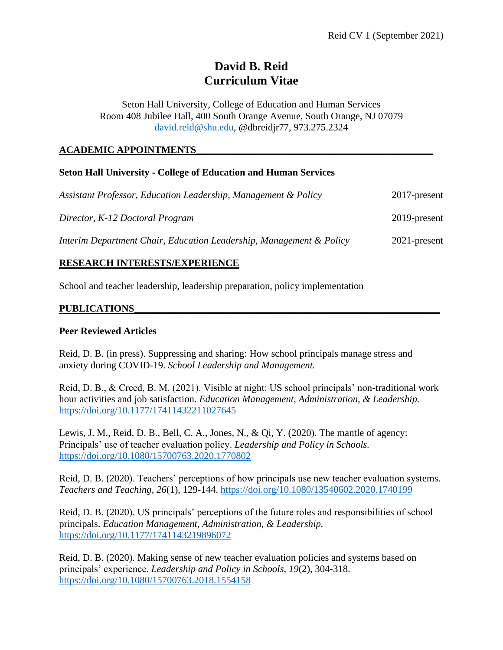# **David B. Reid Curriculum Vitae**

Seton Hall University, College of Education and Human Services Room 408 Jubilee Hall, 400 South Orange Avenue, South Orange, NJ 07079 [david.reid@shu.edu,](mailto:david.reid@shu.edu) @dbreidjr77, 973.275.2324

## **ACADEMIC APPOINTMENTS\_\_\_\_\_\_\_\_\_\_\_\_\_\_\_\_\_\_\_\_\_\_\_\_\_\_\_\_\_\_\_\_\_\_\_\_\_\_\_\_\_\_\_\_\_\_\_\_**

### **Seton Hall University - College of Education and Human Services**

| Assistant Professor, Education Leadership, Management & Policy      | $2017$ -present |
|---------------------------------------------------------------------|-----------------|
| Director, K-12 Doctoral Program                                     | 2019-present    |
| Interim Department Chair, Education Leadership, Management & Policy | $2021$ -present |

## **RESEARCH INTERESTS/EXPERIENCE**

School and teacher leadership, leadership preparation, policy implementation

#### **PUBLICATIONS\_\_\_\_\_\_\_\_\_\_\_\_\_\_\_\_\_\_\_\_\_\_\_\_\_\_\_\_\_\_\_\_\_\_\_\_\_\_\_\_\_\_\_\_\_\_\_\_\_\_\_\_\_\_\_\_\_\_\_\_\_\_**

#### **Peer Reviewed Articles**

Reid, D. B. (in press). Suppressing and sharing: How school principals manage stress and anxiety during COVID-19. *School Leadership and Management.*

Reid, D. B., & Creed, B. M. (2021). Visible at night: US school principals' non-traditional work hour activities and job satisfaction. *Education Management, Administration, & Leadership.*  <https://doi.org/10.1177/17411432211027645>

Lewis, J. M., Reid, D. B., Bell, C. A., Jones, N., & Qi, Y. (2020). The mantle of agency: Principals' use of teacher evaluation policy. *Leadership and Policy in Schools.*  <https://doi.org/10.1080/15700763.2020.1770802>

Reid, D. B. (2020). Teachers' perceptions of how principals use new teacher evaluation systems. *Teachers and Teaching, 26*(1), 129-144. <https://doi.org/10.1080/13540602.2020.1740199>

Reid, D. B. (2020). US principals' perceptions of the future roles and responsibilities of school principals. *Education Management, Administration, & Leadership.* <https://doi.org/10.1177/1741143219896072>

Reid, D. B. (2020). Making sense of new teacher evaluation policies and systems based on principals' experience. *Leadership and Policy in Schools*, *19*(2), 304-318. <https://doi.org/10.1080/15700763.2018.1554158>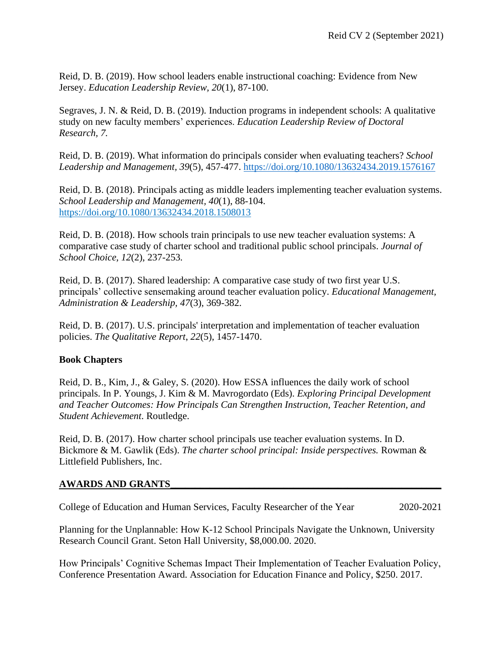Reid, D. B. (2019). How school leaders enable instructional coaching: Evidence from New Jersey. *Education Leadership Review, 20*(1), 87-100.

Segraves, J. N. & Reid, D. B. (2019). Induction programs in independent schools: A qualitative study on new faculty members' experiences. *Education Leadership Review of Doctoral Research, 7.*

Reid, D. B. (2019). What information do principals consider when evaluating teachers? *School Leadership and Management, 39*(5), 457-477. <https://doi.org/10.1080/13632434.2019.1576167>

Reid, D. B. (2018). Principals acting as middle leaders implementing teacher evaluation systems. *School Leadership and Management, 40*(1), 88-104. <https://doi.org/10.1080/13632434.2018.1508013>

Reid, D. B. (2018). How schools train principals to use new teacher evaluation systems: A comparative case study of charter school and traditional public school principals. *Journal of School Choice, 12*(2), 237-253*.*

Reid, D. B. (2017). Shared leadership: A comparative case study of two first year U.S. principals' collective sensemaking around teacher evaluation policy. *Educational Management, Administration & Leadership, 47*(3), 369-382.

Reid, D. B. (2017). U.S. principals' interpretation and implementation of teacher evaluation policies. *The Qualitative Report*, *22*(5), 1457-1470.

## **Book Chapters**

Reid, D. B., Kim, J., & Galey, S. (2020). How ESSA influences the daily work of school principals. In P. Youngs, J. Kim & M. Mavrogordato (Eds). *Exploring Principal Development and Teacher Outcomes: How Principals Can Strengthen Instruction, Teacher Retention, and Student Achievement*. Routledge.

Reid, D. B. (2017). How charter school principals use teacher evaluation systems. In D. Bickmore & M. Gawlik (Eds). *The charter school principal: Inside perspectives.* Rowman & Littlefield Publishers, Inc.

## **AWARDS AND GRANTS\_\_\_\_\_\_\_\_\_\_\_\_\_\_\_\_\_\_\_\_\_\_\_\_\_\_\_\_\_\_\_\_\_\_\_\_\_\_\_\_\_\_\_\_\_\_\_\_\_\_\_\_\_\_\_**

College of Education and Human Services, Faculty Researcher of the Year 2020-2021

Planning for the Unplannable: How K-12 School Principals Navigate the Unknown, University Research Council Grant. Seton Hall University, \$8,000.00. 2020.

How Principals' Cognitive Schemas Impact Their Implementation of Teacher Evaluation Policy, Conference Presentation Award. Association for Education Finance and Policy, \$250. 2017.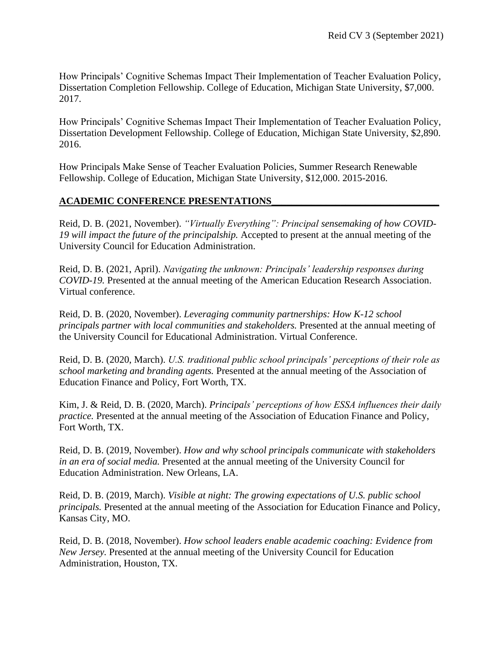How Principals' Cognitive Schemas Impact Their Implementation of Teacher Evaluation Policy, Dissertation Completion Fellowship. College of Education, Michigan State University, \$7,000. 2017.

How Principals' Cognitive Schemas Impact Their Implementation of Teacher Evaluation Policy, Dissertation Development Fellowship. College of Education, Michigan State University, \$2,890. 2016.

How Principals Make Sense of Teacher Evaluation Policies, Summer Research Renewable Fellowship. College of Education, Michigan State University, \$12,000. 2015-2016.

### **ACADEMIC CONFERENCE PRESENTATIONS\_\_\_\_\_\_\_\_\_\_\_\_\_\_\_\_\_\_\_\_\_\_\_\_\_\_\_\_\_\_\_\_\_\_**

Reid, D. B. (2021, November). *"Virtually Everything": Principal sensemaking of how COVID-19 will impact the future of the principalship.* Accepted to present at the annual meeting of the University Council for Education Administration.

Reid, D. B. (2021, April). *Navigating the unknown: Principals' leadership responses during COVID-19.* Presented at the annual meeting of the American Education Research Association. Virtual conference.

Reid, D. B. (2020, November). *Leveraging community partnerships: How K-12 school principals partner with local communities and stakeholders.* Presented at the annual meeting of the University Council for Educational Administration. Virtual Conference.

Reid, D. B. (2020, March). *U.S. traditional public school principals' perceptions of their role as school marketing and branding agents.* Presented at the annual meeting of the Association of Education Finance and Policy, Fort Worth, TX.

Kim, J. & Reid, D. B. (2020, March). *Principals' perceptions of how ESSA influences their daily practice.* Presented at the annual meeting of the Association of Education Finance and Policy, Fort Worth, TX.

Reid, D. B. (2019, November). *How and why school principals communicate with stakeholders in an era of social media.* Presented at the annual meeting of the University Council for Education Administration. New Orleans, LA.

Reid, D. B. (2019, March). *Visible at night: The growing expectations of U.S. public school principals.* Presented at the annual meeting of the Association for Education Finance and Policy, Kansas City, MO.

Reid, D. B. (2018, November). *How school leaders enable academic coaching: Evidence from New Jersey.* Presented at the annual meeting of the University Council for Education Administration, Houston, TX.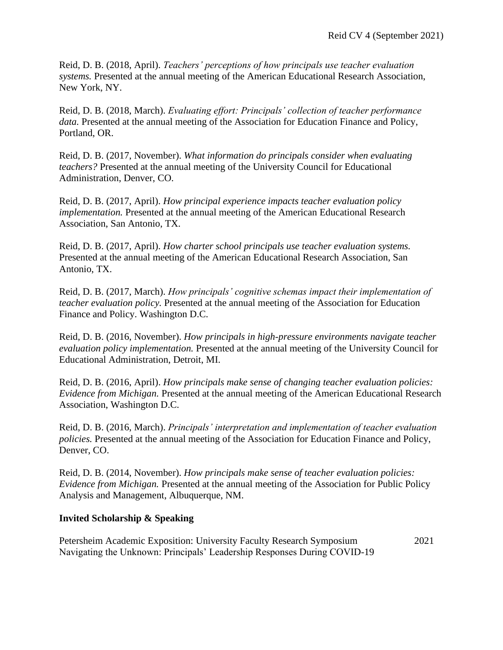Reid, D. B. (2018, April). *Teachers' perceptions of how principals use teacher evaluation systems.* Presented at the annual meeting of the American Educational Research Association, New York, NY.

Reid, D. B. (2018, March). *Evaluating effort: Principals' collection of teacher performance data.* Presented at the annual meeting of the Association for Education Finance and Policy, Portland, OR.

Reid, D. B. (2017, November). *What information do principals consider when evaluating teachers?* Presented at the annual meeting of the University Council for Educational Administration, Denver, CO.

Reid, D. B. (2017, April). *How principal experience impacts teacher evaluation policy implementation.* Presented at the annual meeting of the American Educational Research Association, San Antonio, TX.

Reid, D. B. (2017, April). *How charter school principals use teacher evaluation systems.*  Presented at the annual meeting of the American Educational Research Association, San Antonio, TX.

Reid, D. B. (2017, March). *How principals' cognitive schemas impact their implementation of teacher evaluation policy.* Presented at the annual meeting of the Association for Education Finance and Policy. Washington D.C.

Reid, D. B. (2016, November). *How principals in high-pressure environments navigate teacher evaluation policy implementation.* Presented at the annual meeting of the University Council for Educational Administration, Detroit, MI.

Reid, D. B. (2016, April). *How principals make sense of changing teacher evaluation policies: Evidence from Michigan.* Presented at the annual meeting of the American Educational Research Association, Washington D.C.

Reid, D. B. (2016, March). *Principals' interpretation and implementation of teacher evaluation policies.* Presented at the annual meeting of the Association for Education Finance and Policy, Denver, CO.

Reid, D. B. (2014, November). *How principals make sense of teacher evaluation policies: Evidence from Michigan.* Presented at the annual meeting of the Association for Public Policy Analysis and Management, Albuquerque, NM.

#### **Invited Scholarship & Speaking**

Petersheim Academic Exposition: University Faculty Research Symposium 2021 Navigating the Unknown: Principals' Leadership Responses During COVID-19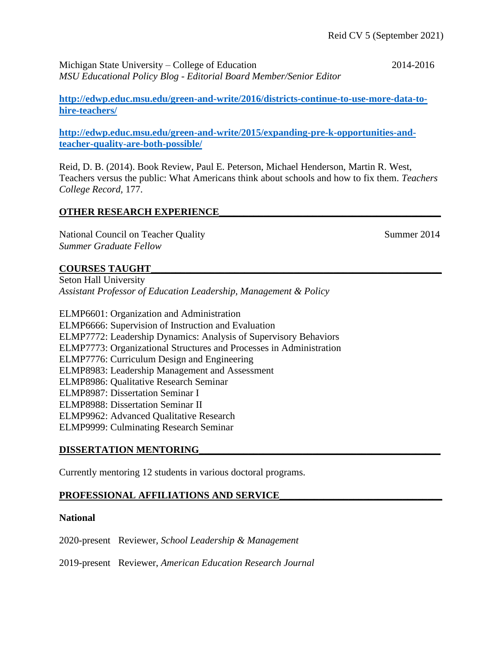Michigan State University – College of Education 2014-2016 *MSU Educational Policy Blog - Editorial Board Member/Senior Editor*

**[http://edwp.educ.msu.edu/green-and-write/2016/districts-continue-to-use-more-data-to](http://edwp.educ.msu.edu/green-and-write/2016/districts-continue-to-use-more-data-to-hire-teachers/)[hire-teachers/](http://edwp.educ.msu.edu/green-and-write/2016/districts-continue-to-use-more-data-to-hire-teachers/)**

**[http://edwp.educ.msu.edu/green-and-write/2015/expanding-pre-k-opportunities-and](http://edwp.educ.msu.edu/green-and-write/2015/expanding-pre-k-opportunities-and-teacher-quality-are-both-possible/)[teacher-quality-are-both-possible/](http://edwp.educ.msu.edu/green-and-write/2015/expanding-pre-k-opportunities-and-teacher-quality-are-both-possible/)**

Reid, D. B. (2014). Book Review, Paul E. Peterson, Michael Henderson, Martin R. West, Teachers versus the public: What Americans think about schools and how to fix them. *Teachers College Record,* 177.

## **OTHER RESEARCH EXPERIENCE\_\_\_\_\_\_\_\_\_\_\_\_\_\_\_\_\_\_\_\_\_\_\_\_\_\_\_\_\_\_\_\_\_\_\_\_\_\_\_\_\_\_\_\_\_**

National Council on Teacher Quality Summer 2014 *Summer Graduate Fellow* 

**COURSES TAUGHT\_\_\_\_\_\_\_\_\_\_\_\_\_\_\_\_\_\_\_\_\_\_\_\_\_\_\_\_\_\_\_\_\_\_\_\_\_\_\_\_\_\_\_\_\_\_\_\_\_\_\_\_\_\_\_\_\_\_\_**

Seton Hall University *Assistant Professor of Education Leadership, Management & Policy*

ELMP6601: Organization and Administration ELMP6666: Supervision of Instruction and Evaluation ELMP7772: Leadership Dynamics: Analysis of Supervisory Behaviors ELMP7773: Organizational Structures and Processes in Administration ELMP7776: Curriculum Design and Engineering ELMP8983: Leadership Management and Assessment ELMP8986: Qualitative Research Seminar ELMP8987: Dissertation Seminar I ELMP8988: Dissertation Seminar II ELMP9962: Advanced Qualitative Research ELMP9999: Culminating Research Seminar

#### **DISSERTATION MENTORING\_\_\_\_\_\_\_\_\_\_\_\_\_\_\_\_\_\_\_\_\_\_\_\_\_\_\_\_\_\_\_\_\_\_\_\_\_\_\_\_\_\_\_\_\_\_\_\_\_**

Currently mentoring 12 students in various doctoral programs.

#### PROFESSIONAL AFFILIATIONS AND SERVICE

#### **National**

2020-present Reviewer, *School Leadership & Management*

2019-present Reviewer, *American Education Research Journal*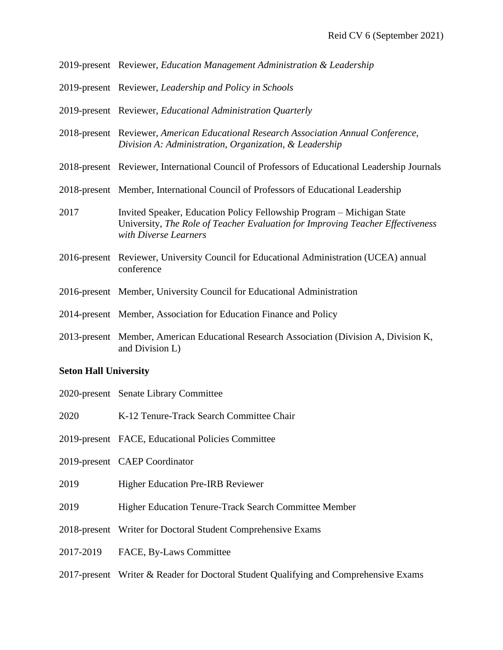|      | 2019-present Reviewer, Education Management Administration & Leadership                                                                                                          |
|------|----------------------------------------------------------------------------------------------------------------------------------------------------------------------------------|
|      | 2019-present Reviewer, Leadership and Policy in Schools                                                                                                                          |
|      | 2019-present Reviewer, Educational Administration Quarterly                                                                                                                      |
|      | 2018-present Reviewer, American Educational Research Association Annual Conference,<br>Division A: Administration, Organization, & Leadership                                    |
|      | 2018-present Reviewer, International Council of Professors of Educational Leadership Journals                                                                                    |
|      | 2018-present Member, International Council of Professors of Educational Leadership                                                                                               |
| 2017 | Invited Speaker, Education Policy Fellowship Program – Michigan State<br>University, The Role of Teacher Evaluation for Improving Teacher Effectiveness<br>with Diverse Learners |
|      | 2016-present Reviewer, University Council for Educational Administration (UCEA) annual<br>conference                                                                             |
|      | 2016-present Member, University Council for Educational Administration                                                                                                           |
|      | 2014-present Member, Association for Education Finance and Policy                                                                                                                |
|      | 2013-present Member, American Educational Research Association (Division A, Division K,<br>and Division L)                                                                       |

#### **Seton Hall University**

- 2020-present Senate Library Committee
- 2020 K-12 Tenure-Track Search Committee Chair
- 2019-present FACE, Educational Policies Committee
- 2019-present CAEP Coordinator
- 2019 Higher Education Pre-IRB Reviewer
- 2019 Higher Education Tenure-Track Search Committee Member
- 2018-present Writer for Doctoral Student Comprehensive Exams
- 2017-2019 FACE, By-Laws Committee
- 2017-present Writer & Reader for Doctoral Student Qualifying and Comprehensive Exams